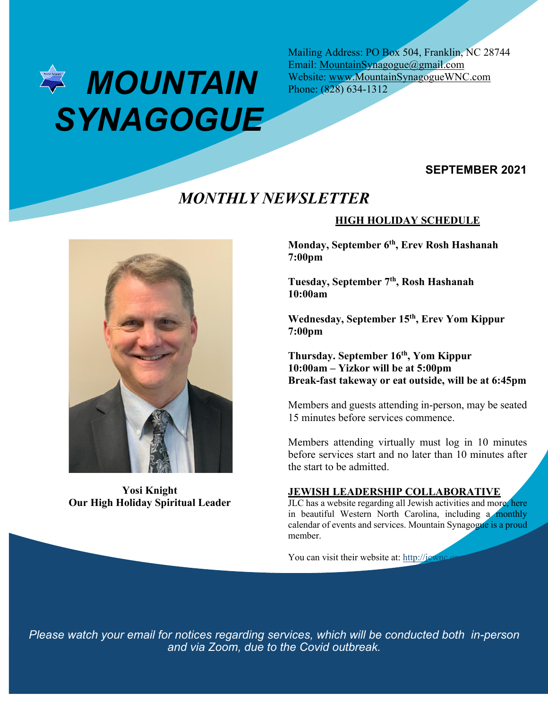

Mailing Address: PO Box 504, Franklin, NC 28744 Email: MountainSynagogue@gmail.com Website: www.MountainSynagogueWNC.com Phone: (828) 634-1312

# **SEPTEMBER 2021**

# *MONTHLY NEWSLETTER*



**Yosi Knight Our High Holiday Spiritual Leader**

## **HIGH HOLIDAY SCHEDULE**

**Monday, September 6th, Erev Rosh Hashanah 7:00pm**

**Tuesday, September 7th, Rosh Hashanah 10:00am**

**Wednesday, September 15th, Erev Yom Kippur 7:00pm**

**Thursday. September 16th, Yom Kippur 10:00am – Yizkor will be at 5:00pm Break-fast takeway or eat outside, will be at 6:45pm**

Members and guests attending in-person, may be seated 15 minutes before services commence.

Members attending virtually must log in 10 minutes before services start and no later than 10 minutes after the start to be admitted.

## **JEWISH LEADERSHIP COLLABORATIVE**

JLC has a website regarding all Jewish activities and more, here in beautiful Western North Carolina, including a monthly calendar of events and services. Mountain Synagogue is a proud member.

You can visit their website at: http://jewnc.

*Please watch your email for notices regarding services, which will be conducted both in-person and via Zoom, due to the Covid outbreak.*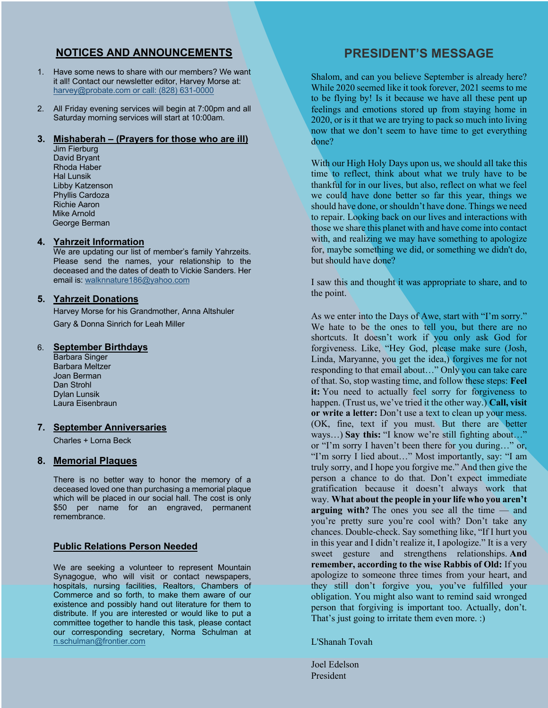## **NOTICES AND ANNOUNCEMENTS**

- 1. Have some news to share with our members? We want it all! Contact our newsletter editor, Harvey Morse at: harvey@probate.com or call: (828) 631-0000
- 2. All Friday evening services will begin at 7:00pm and all Saturday morning services will start at 10:00am.

#### **3. Mishaberah – (Prayers for those who are ill)**

Jim Fierburg David Bryant Rhoda Haber Hal Lunsik Libby Katzenson Phyllis Cardoza Richie Aaron Mike Arnold George Berman

#### **4. Yahrzeit Information**

We are updating our list of member's family Yahrzeits. Please send the names, your relationship to the deceased and the dates of death to Vickie Sanders. Her email is: walknnature186@yahoo.com

## **5. Yahrzeit Donations**

Harvey Morse for his Grandmother, Anna Altshuler Gary & Donna Sinrich for Leah Miller

#### 6. **September Birthdays**

Barbara Singer Barbara Meltzer Joan Berman Dan Strohl Dylan Lunsik Laura Eisenbraun

#### **7. September Anniversaries**

Charles + Lorna Beck

## **8. Memorial Plaques**

There is no better way to honor the memory of a deceased loved one than purchasing a memorial plaque which will be placed in our social hall. The cost is only \$50 per name for an engraved, permanent remembrance.

## **Public Relations Person Needed**

We are seeking a volunteer to represent Mountain Synagogue, who will visit or contact newspapers, hospitals, nursing facilities, Realtors, Chambers of Commerce and so forth, to make them aware of our existence and possibly hand out literature for them to distribute. If you are interested or would like to put a committee together to handle this task, please contact our corresponding secretary, Norma Schulman at n.schulman@frontier.com

# **PRESIDENT'S MESSAGE**

Shalom, and can you believe September is already here? While 2020 seemed like it took forever, 2021 seems to me to be flying by! Is it because we have all these pent up feelings and emotions stored up from staying home in 2020, or is it that we are trying to pack so much into living now that we don't seem to have time to get everything done?

With our High Holy Days upon us, we should all take this time to reflect, think about what we truly have to be thankful for in our lives, but also, reflect on what we feel we could have done better so far this year, things we should have done, or shouldn't have done. Things we need to repair. Looking back on our lives and interactions with those we share this planet with and have come into contact with, and realizing we may have something to apologize for, maybe something we did, or something we didn't do, but should have done?

I saw this and thought it was appropriate to share, and to the point.

As we enter into the Days of Awe, start with "I'm sorry." We hate to be the ones to tell you, but there are no shortcuts. It doesn't work if you only ask God for forgiveness. Like, "Hey God, please make sure (Josh, Linda, Maryanne, you get the idea,) forgives me for not responding to that email about…" Only you can take care of that. So, stop wasting time, and follow these steps: **Feel it:** You need to actually feel sorry for forgiveness to happen. (Trust us, we've tried it the other way.) **Call, visit or write a letter:** Don't use a text to clean up your mess. (OK, fine, text if you must. But there are better ways…) **Say this:** "I know we're still fighting about…" or "I'm sorry I haven't been there for you during…" or, "I'm sorry I lied about…" Most importantly, say: "I am truly sorry, and I hope you forgive me." And then give the person a chance to do that. Don't expect immediate gratification because it doesn't always work that way. **What about the people in your life who you aren't arguing with?** The ones you see all the time — and you're pretty sure you're cool with? Don't take any chances. Double-check. Say something like, "If I hurt you in this year and I didn't realize it, I apologize." It is a very sweet gesture and strengthens relationships. **And remember, according to the wise Rabbis of Old:** If you apologize to someone three times from your heart, and they still don't forgive you, you've fulfilled your obligation. You might also want to remind said wronged person that forgiving is important too. Actually, don't. That's just going to irritate them even more. :)

L'Shanah Tovah

Joel Edelson President